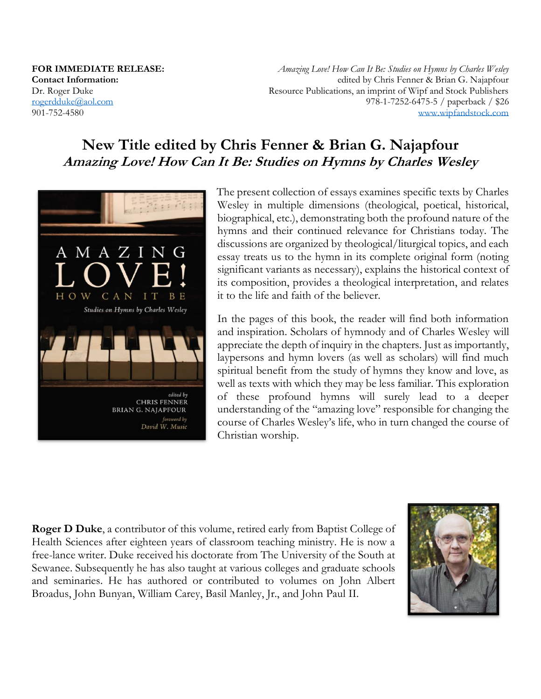**FOR IMMEDIATE RELEASE: Contact Information:**  Dr. Roger Duke [rogerdduke@aol.com](mailto:rogerdduke@aol.com) 901-752-4580

*Amazing Love! How Can It Be: Studies on Hymns by Charles Wesley* edited by Chris Fenner & Brian G. Najapfour Resource Publications, an imprint of Wipf and Stock Publishers 978-1-7252-6475-5 / paperback / \$26 [www.wipfandstock.com](http://www.wipfandstock.com/)

# **New Title edited by Chris Fenner & Brian G. Najapfour Amazing Love! How Can It Be: Studies on Hymns by Charles Wesley**



The present collection of essays examines specific texts by Charles Wesley in multiple dimensions (theological, poetical, historical, biographical, etc.), demonstrating both the profound nature of the hymns and their continued relevance for Christians today. The discussions are organized by theological/liturgical topics, and each essay treats us to the hymn in its complete original form (noting significant variants as necessary), explains the historical context of its composition, provides a theological interpretation, and relates it to the life and faith of the believer.

In the pages of this book, the reader will find both information and inspiration. Scholars of hymnody and of Charles Wesley will appreciate the depth of inquiry in the chapters. Just as importantly, laypersons and hymn lovers (as well as scholars) will find much spiritual benefit from the study of hymns they know and love, as well as texts with which they may be less familiar. This exploration of these profound hymns will surely lead to a deeper understanding of the "amazing love" responsible for changing the course of Charles Wesley's life, who in turn changed the course of Christian worship.

**Roger D Duke**, a contributor of this volume, retired early from Baptist College of Health Sciences after eighteen years of classroom teaching ministry. He is now a free-lance writer. Duke received his doctorate from The University of the South at Sewanee. Subsequently he has also taught at various colleges and graduate schools and seminaries. He has authored or contributed to volumes on John Albert Broadus, John Bunyan, William Carey, Basil Manley, Jr., and John Paul II.

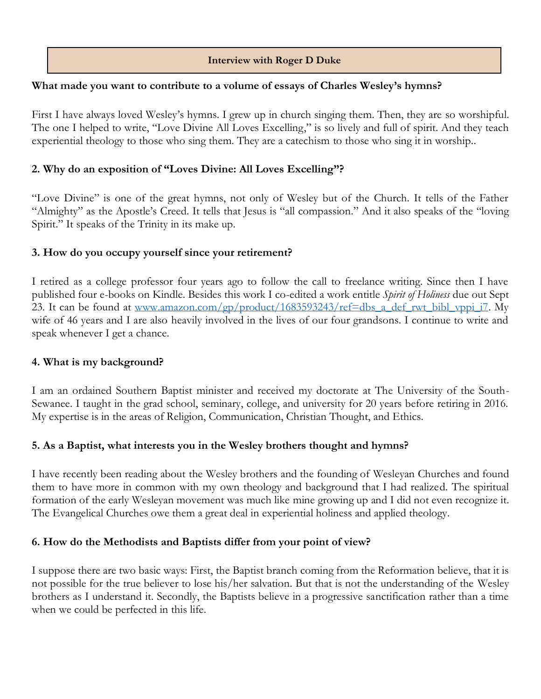### **Interview with Roger D Duke**

#### **What made you want to contribute to a volume of essays of Charles Wesley's hymns?**

First I have always loved Wesley's hymns. I grew up in church singing them. Then, they are so worshipful. The one I helped to write, "Love Divine All Loves Excelling," is so lively and full of spirit. And they teach experiential theology to those who sing them. They are a catechism to those who sing it in worship..

### **2. Why do an exposition of "Loves Divine: All Loves Excelling"?**

"Love Divine" is one of the great hymns, not only of Wesley but of the Church. It tells of the Father "Almighty" as the Apostle's Creed. It tells that Jesus is "all compassion." And it also speaks of the "loving Spirit." It speaks of the Trinity in its make up.

### **3. How do you occupy yourself since your retirement?**

I retired as a college professor four years ago to follow the call to freelance writing. Since then I have published four e-books on Kindle. Besides this work I co-edited a work entitle *Spirit of Holiness* due out Sept 23. It can be found at [www.amazon.com/gp/product/1683593243/ref=dbs\\_a\\_def\\_rwt\\_bibl\\_vppi\\_i7.](http://www.amazon.com/gp/product/1683593243/ref=dbs_a_def_rwt_bibl_vppi_i7) My wife of 46 years and I are also heavily involved in the lives of our four grandsons. I continue to write and speak whenever I get a chance.

#### **4. What is my background?**

I am an ordained Southern Baptist minister and received my doctorate at The University of the South-Sewanee. I taught in the grad school, seminary, college, and university for 20 years before retiring in 2016. My expertise is in the areas of Religion, Communication, Christian Thought, and Ethics.

#### **5. As a Baptist, what interests you in the Wesley brothers thought and hymns?**

I have recently been reading about the Wesley brothers and the founding of Wesleyan Churches and found them to have more in common with my own theology and background that I had realized. The spiritual formation of the early Wesleyan movement was much like mine growing up and I did not even recognize it. The Evangelical Churches owe them a great deal in experiential holiness and applied theology.

## **6. How do the Methodists and Baptists differ from your point of view?**

I suppose there are two basic ways: First, the Baptist branch coming from the Reformation believe, that it is not possible for the true believer to lose his/her salvation. But that is not the understanding of the Wesley brothers as I understand it. Secondly, the Baptists believe in a progressive sanctification rather than a time when we could be perfected in this life.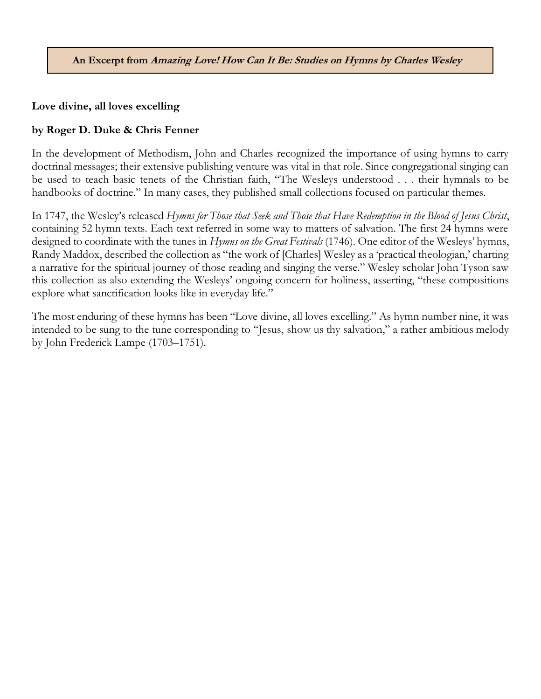**An Excerpt from Amazing Love! How Can It Be: Studies on Hymns by Charles Wesley**

**Love divine, all loves excelling**

## **by Roger D. Duke & Chris Fenner**

In the development of Methodism, John and Charles recognized the importance of using hymns to carry doctrinal messages; their extensive publishing venture was vital in that role. Since congregational singing can be used to teach basic tenets of the Christian faith, "The Wesleys understood . . . their hymnals to be handbooks of doctrine." In many cases, they published small collections focused on particular themes.

In 1747, the Wesley's released *Hymns for Those that Seek and Those that Have Redemption in the Blood of Jesus Christ*, containing 52 hymn texts. Each text referred in some way to matters of salvation. The first 24 hymns were designed to coordinate with the tunes in *Hymns on the Great Festivals* (1746). One editor of the Wesleys' hymns, Randy Maddox, described the collection as "the work of [Charles] Wesley as a 'practical theologian,' charting a narrative for the spiritual journey of those reading and singing the verse." Wesley scholar John Tyson saw this collection as also extending the Wesleys' ongoing concern for holiness, asserting, "these compositions explore what sanctification looks like in everyday life."

The most enduring of these hymns has been "Love divine, all loves excelling." As hymn number nine, it was intended to be sung to the tune corresponding to "Jesus, show us thy salvation," a rather ambitious melody by John Frederick Lampe (1703–1751).